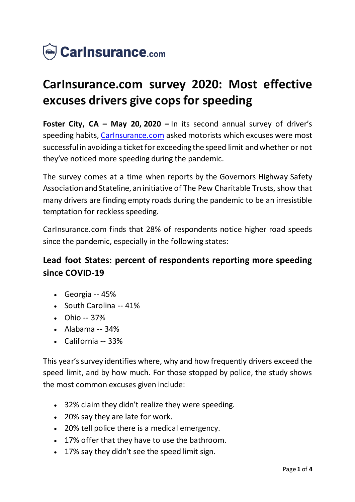

# **CarInsurance.com survey 2020: Most effective excuses drivers give cops for speeding**

**Foster City, CA – May 20, 2020 –** In its second annual survey of driver's speeding habits, [CarInsurance.com](https://www.carinsurance.com/) asked motorists which excuses were most successful in avoiding a ticket for exceeding the speed limit and whether or not they've noticed more speeding during the pandemic.

The survey comes at a time when reports by the Governors Highway Safety Association and Stateline, an initiative of The Pew Charitable Trusts, show that many drivers are finding empty roads during the pandemic to be an irresistible temptation for reckless speeding.

CarInsurance.com finds that 28% of respondents notice higher road speeds since the pandemic, especially in the following states:

# **Lead foot States: percent of respondents reporting more speeding since COVID-19**

- $\bullet$  Georgia -- 45%
- South Carolina -- 41%
- $\bullet$  Ohio -- 37%
- Alabama -- 34%
- California -- 33%

This year's survey identifies where, why and how frequently drivers exceed the speed limit, and by how much. For those stopped by police, the study shows the most common excuses given include:

- 32% claim they didn't realize they were speeding.
- 20% say they are late for work.
- 20% tell police there is a medical emergency.
- 17% offer that they have to use the bathroom.
- 17% say they didn't see the speed limit sign.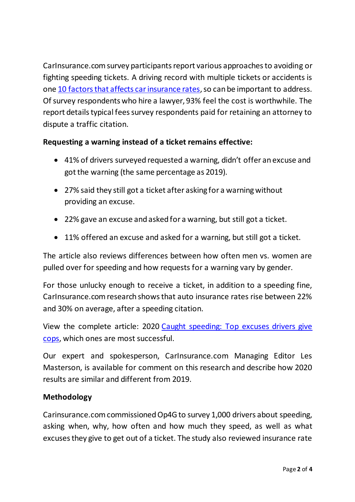CarInsurance.com survey participants report various approaches to avoiding or fighting speeding tickets. A driving record with multiple tickets or accidents is one [10 factors that affects car insurance rates,](https://www.carinsurance.com/Articles/10-factors-that-affect-your-car-insurance-rates.aspx) so can be important to address. Of survey respondents who hire a lawyer, 93% feel the cost is worthwhile. The report details typical fees survey respondents paid for retaining an attorney to dispute a traffic citation.

## **Requesting a warning instead of a ticket remains effective:**

- 41% of drivers surveyed requested a warning, didn't offer an excuse and got the warning (the same percentage as 2019).
- 27% said they still got a ticket after asking for a warning without providing an excuse.
- 22% gave an excuse and asked for a warning, but still got a ticket.
- 11% offered an excuse and asked for a warning, but still got a ticket.

The article also reviews differences between how often men vs. women are pulled over for speeding and how requests for a warning vary by gender.

For those unlucky enough to receive a ticket, in addition to a speeding fine, CarInsurance.com research shows that auto insurance rates rise between 22% and 30% on average, after a speeding citation.

View the complete article: 2020 [Caught speeding: Top excuses drivers give](https://www.carinsurance.com/speeding-ticket-excuses/)  [cops,](https://www.carinsurance.com/speeding-ticket-excuses/) which ones are most successful.

Our expert and spokesperson, CarInsurance.com Managing Editor Les Masterson, is available for comment on this research and describe how 2020 results are similar and different from 2019.

### **Methodology**

Carinsurance.com commissioned Op4G to survey 1,000 drivers about speeding, asking when, why, how often and how much they speed, as well as what excuses they give to get out of a ticket. The study also reviewed insurance rate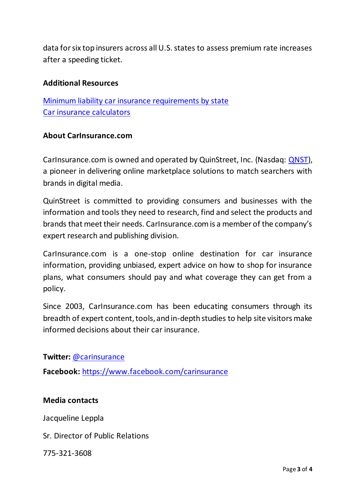data for six top insurers across all U.S. states to assess premium rate increases after a speeding ticket.

#### **Additional Resources**

[Minimum liability car insurance requirements by state](https://www.carinsurance.com/Articles/minimum-liability-car-insurance-requirements-by-state.aspx) [Car insurance calculators](https://www.carinsurance.com/calculators/)

#### **About CarInsurance.com**

CarInsurance.com is owned and operated by QuinStreet, Inc. (Nasdaq: [QNST\)](https://www.nasdaq.com/market-activity/stocks/qnst), a pioneer in delivering online marketplace solutions to match searchers with brands in digital media.

QuinStreet is committed to providing consumers and businesses with the information and tools they need to research, find and select the products and brands that meet their needs. CarInsurance.com is a member of the company's expert research and publishing division.

CarInsurance.com is a one-stop online destination for car insurance information, providing unbiased, expert advice on how to shop for insurance plans, what consumers should pay and what coverage they can get from a policy.

Since 2003, CarInsurance.com has been educating consumers through its breadth of expert content, tools, and in-depth studies to help site visitors make informed decisions about their car insurance.

#### **Twitter:** [@carinsurance](https://twitter.com/carinsurance)

**Facebook:** [https://www.facebook.com/carinsuranc](https://www.facebook.com/carinsurance)e

#### **Media contacts**

Jacqueline Leppla

Sr. Director of Public Relations

775-321-3608